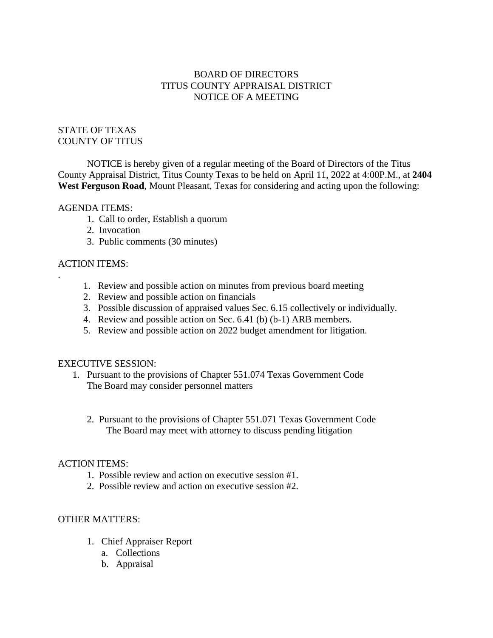# BOARD OF DIRECTORS TITUS COUNTY APPRAISAL DISTRICT NOTICE OF A MEETING

### STATE OF TEXAS COUNTY OF TITUS

NOTICE is hereby given of a regular meeting of the Board of Directors of the Titus County Appraisal District, Titus County Texas to be held on April 11, 2022 at 4:00P.M., at **2404 West Ferguson Road**, Mount Pleasant, Texas for considering and acting upon the following:

### AGENDA ITEMS:

- 1. Call to order, Establish a quorum
- 2. Invocation
- 3. Public comments (30 minutes)

### ACTION ITEMS:

.

- 1. Review and possible action on minutes from previous board meeting
- 2. Review and possible action on financials
- 3. Possible discussion of appraised values Sec. 6.15 collectively or individually.
- 4. Review and possible action on Sec. 6.41 (b) (b-1) ARB members.
- 5. Review and possible action on 2022 budget amendment for litigation.

### EXECUTIVE SESSION:

- 1. Pursuant to the provisions of Chapter 551.074 Texas Government Code The Board may consider personnel matters
	- 2. Pursuant to the provisions of Chapter 551.071 Texas Government Code The Board may meet with attorney to discuss pending litigation

### ACTION ITEMS:

- 1. Possible review and action on executive session #1.
- 2. Possible review and action on executive session #2.

# OTHER MATTERS:

- 1. Chief Appraiser Report
	- a. Collections
	- b. Appraisal